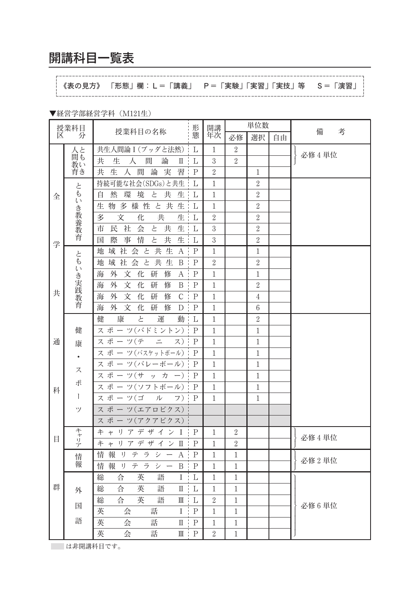## 開講科目一覧表

《表の見方》 「形態」欄:L=「講義」 P=「実験」「実習」「実技」等 S=「演習」 Ï. 

▼経営学部経営学科 (M121生)

| 授業科目<br>形<br>考<br>授業科目の名称<br>備<br>区<br>熊<br>年次<br>分<br>必修<br>選択<br>自由<br>共生人間論 I (ブッダと法然)<br>人と<br>$\overline{2}$<br>1<br>L<br>必修 4 単位<br>共<br>生<br>人<br>間<br>論<br>$\rm{I\hspace{-.1em}I}$<br>$\sqrt{3}$<br>$\overline{2}$<br>L<br>教い<br>育き<br>共<br>生<br>人<br>間<br>論<br>習<br>$\overline{2}$<br>実<br>$\mathbf P$<br>$\mathbf{1}$<br>持続可能な社会(SDGs)と共生<br>$1\,$<br>$\sqrt{2}$<br>L<br>ともいき教養教育<br>境<br>と<br>共<br>$\sqrt{2}$<br>自<br>然<br>環<br>生<br>L<br>1<br>全<br>生<br>多<br>様 性<br>と<br>共<br>$\sqrt{2}$<br>生<br>物<br>L<br>1<br>共<br>多<br>文<br>生<br>$\sqrt{2}$<br>化<br>$\sqrt{2}$<br>L<br>社<br>会<br>生<br>$\sqrt{3}$<br>$\sqrt{2}$<br>民<br>と<br>共<br>市<br>L<br>情<br>と<br>共<br>生<br>$\overline{3}$<br>$\sqrt{2}$<br>際<br>事<br>国<br>L<br>学<br>社会<br>共<br>生<br>域<br>と<br>$\mathbf{A}$<br>$\mathbf P$<br>$1\,$<br>$\,1\,$<br>地<br>ともいき実践教育<br>社<br>会<br>$\succeq$<br>共<br>域<br>生<br>$\, {\bf B}$<br>$\rm P$<br>$\sqrt{2}$<br>$\sqrt{2}$<br>地<br>文<br>外<br>化<br>研<br>修<br>$1\,$<br>海<br>A<br>$\mathbf P$<br>$1\,$<br>文<br>化<br>外<br>研<br>修<br>$\sqrt{2}$<br>B<br>P<br>$1\,$<br>海<br>共<br>研<br>外<br>文<br>化<br>修<br>$\mathsf C$<br>海<br>$\mathbf P$<br>$\mathbf{1}$<br>$\overline{4}$<br>外<br>文<br>研<br>修<br>$\,6\,$<br>海<br>化<br>D<br>$\mathbf P$<br>1<br>と<br>運<br>動<br>$\overline{2}$<br>健<br>康<br>$\mathbf{1}$<br>L<br>スポーツ(バドミントン)<br>健<br>P<br>$1\,$<br>$\,1$<br>スポーツ(テ<br>通<br>$\equiv$<br>ス)<br>$\mathbf P$<br>$1\,$<br>$\,1$<br>康<br>ス ポ ー ツ(バスケットボール)<br>P<br>$1\,$<br>$\,1$<br>٠<br>ス ポ ー ツ(バレーボール)<br>P<br>$\mathbf{1}$<br>$1\,$<br>ス<br>スポーツ(サ<br>ッカ<br>$\mathbf P$<br>$1\,$<br>$\mathbf{1}$<br>$-)$<br>ポ<br>ス ポ ー ツ(ソフトボール)<br>$\mathbf P$<br>$1\,$<br>$\mathbf{1}$<br>科<br>$\frac{1}{2}$<br>スポーツ(ゴ<br>ル<br>1<br>1<br>フ)<br>P<br>スポーツ(エアロビクス)<br>ツ<br>ス ポ ー ツ(アクアビクス) |
|-------------------------------------------------------------------------------------------------------------------------------------------------------------------------------------------------------------------------------------------------------------------------------------------------------------------------------------------------------------------------------------------------------------------------------------------------------------------------------------------------------------------------------------------------------------------------------------------------------------------------------------------------------------------------------------------------------------------------------------------------------------------------------------------------------------------------------------------------------------------------------------------------------------------------------------------------------------------------------------------------------------------------------------------------------------------------------------------------------------------------------------------------------------------------------------------------------------------------------------------------------------------------------------------------------------------------------------------------------------------------------------------------------------------------------------------------------------------------------------------------------------------------------------------------------------------------------------------------------------------------------------------------------------------------------------------------------------------------------------------------------------------------|
|                                                                                                                                                                                                                                                                                                                                                                                                                                                                                                                                                                                                                                                                                                                                                                                                                                                                                                                                                                                                                                                                                                                                                                                                                                                                                                                                                                                                                                                                                                                                                                                                                                                                                                                                                                         |
|                                                                                                                                                                                                                                                                                                                                                                                                                                                                                                                                                                                                                                                                                                                                                                                                                                                                                                                                                                                                                                                                                                                                                                                                                                                                                                                                                                                                                                                                                                                                                                                                                                                                                                                                                                         |
|                                                                                                                                                                                                                                                                                                                                                                                                                                                                                                                                                                                                                                                                                                                                                                                                                                                                                                                                                                                                                                                                                                                                                                                                                                                                                                                                                                                                                                                                                                                                                                                                                                                                                                                                                                         |
|                                                                                                                                                                                                                                                                                                                                                                                                                                                                                                                                                                                                                                                                                                                                                                                                                                                                                                                                                                                                                                                                                                                                                                                                                                                                                                                                                                                                                                                                                                                                                                                                                                                                                                                                                                         |
|                                                                                                                                                                                                                                                                                                                                                                                                                                                                                                                                                                                                                                                                                                                                                                                                                                                                                                                                                                                                                                                                                                                                                                                                                                                                                                                                                                                                                                                                                                                                                                                                                                                                                                                                                                         |
|                                                                                                                                                                                                                                                                                                                                                                                                                                                                                                                                                                                                                                                                                                                                                                                                                                                                                                                                                                                                                                                                                                                                                                                                                                                                                                                                                                                                                                                                                                                                                                                                                                                                                                                                                                         |
|                                                                                                                                                                                                                                                                                                                                                                                                                                                                                                                                                                                                                                                                                                                                                                                                                                                                                                                                                                                                                                                                                                                                                                                                                                                                                                                                                                                                                                                                                                                                                                                                                                                                                                                                                                         |
|                                                                                                                                                                                                                                                                                                                                                                                                                                                                                                                                                                                                                                                                                                                                                                                                                                                                                                                                                                                                                                                                                                                                                                                                                                                                                                                                                                                                                                                                                                                                                                                                                                                                                                                                                                         |
|                                                                                                                                                                                                                                                                                                                                                                                                                                                                                                                                                                                                                                                                                                                                                                                                                                                                                                                                                                                                                                                                                                                                                                                                                                                                                                                                                                                                                                                                                                                                                                                                                                                                                                                                                                         |
|                                                                                                                                                                                                                                                                                                                                                                                                                                                                                                                                                                                                                                                                                                                                                                                                                                                                                                                                                                                                                                                                                                                                                                                                                                                                                                                                                                                                                                                                                                                                                                                                                                                                                                                                                                         |
|                                                                                                                                                                                                                                                                                                                                                                                                                                                                                                                                                                                                                                                                                                                                                                                                                                                                                                                                                                                                                                                                                                                                                                                                                                                                                                                                                                                                                                                                                                                                                                                                                                                                                                                                                                         |
|                                                                                                                                                                                                                                                                                                                                                                                                                                                                                                                                                                                                                                                                                                                                                                                                                                                                                                                                                                                                                                                                                                                                                                                                                                                                                                                                                                                                                                                                                                                                                                                                                                                                                                                                                                         |
|                                                                                                                                                                                                                                                                                                                                                                                                                                                                                                                                                                                                                                                                                                                                                                                                                                                                                                                                                                                                                                                                                                                                                                                                                                                                                                                                                                                                                                                                                                                                                                                                                                                                                                                                                                         |
|                                                                                                                                                                                                                                                                                                                                                                                                                                                                                                                                                                                                                                                                                                                                                                                                                                                                                                                                                                                                                                                                                                                                                                                                                                                                                                                                                                                                                                                                                                                                                                                                                                                                                                                                                                         |
|                                                                                                                                                                                                                                                                                                                                                                                                                                                                                                                                                                                                                                                                                                                                                                                                                                                                                                                                                                                                                                                                                                                                                                                                                                                                                                                                                                                                                                                                                                                                                                                                                                                                                                                                                                         |
|                                                                                                                                                                                                                                                                                                                                                                                                                                                                                                                                                                                                                                                                                                                                                                                                                                                                                                                                                                                                                                                                                                                                                                                                                                                                                                                                                                                                                                                                                                                                                                                                                                                                                                                                                                         |
|                                                                                                                                                                                                                                                                                                                                                                                                                                                                                                                                                                                                                                                                                                                                                                                                                                                                                                                                                                                                                                                                                                                                                                                                                                                                                                                                                                                                                                                                                                                                                                                                                                                                                                                                                                         |
|                                                                                                                                                                                                                                                                                                                                                                                                                                                                                                                                                                                                                                                                                                                                                                                                                                                                                                                                                                                                                                                                                                                                                                                                                                                                                                                                                                                                                                                                                                                                                                                                                                                                                                                                                                         |
|                                                                                                                                                                                                                                                                                                                                                                                                                                                                                                                                                                                                                                                                                                                                                                                                                                                                                                                                                                                                                                                                                                                                                                                                                                                                                                                                                                                                                                                                                                                                                                                                                                                                                                                                                                         |
|                                                                                                                                                                                                                                                                                                                                                                                                                                                                                                                                                                                                                                                                                                                                                                                                                                                                                                                                                                                                                                                                                                                                                                                                                                                                                                                                                                                                                                                                                                                                                                                                                                                                                                                                                                         |
|                                                                                                                                                                                                                                                                                                                                                                                                                                                                                                                                                                                                                                                                                                                                                                                                                                                                                                                                                                                                                                                                                                                                                                                                                                                                                                                                                                                                                                                                                                                                                                                                                                                                                                                                                                         |
|                                                                                                                                                                                                                                                                                                                                                                                                                                                                                                                                                                                                                                                                                                                                                                                                                                                                                                                                                                                                                                                                                                                                                                                                                                                                                                                                                                                                                                                                                                                                                                                                                                                                                                                                                                         |
|                                                                                                                                                                                                                                                                                                                                                                                                                                                                                                                                                                                                                                                                                                                                                                                                                                                                                                                                                                                                                                                                                                                                                                                                                                                                                                                                                                                                                                                                                                                                                                                                                                                                                                                                                                         |
|                                                                                                                                                                                                                                                                                                                                                                                                                                                                                                                                                                                                                                                                                                                                                                                                                                                                                                                                                                                                                                                                                                                                                                                                                                                                                                                                                                                                                                                                                                                                                                                                                                                                                                                                                                         |
|                                                                                                                                                                                                                                                                                                                                                                                                                                                                                                                                                                                                                                                                                                                                                                                                                                                                                                                                                                                                                                                                                                                                                                                                                                                                                                                                                                                                                                                                                                                                                                                                                                                                                                                                                                         |
|                                                                                                                                                                                                                                                                                                                                                                                                                                                                                                                                                                                                                                                                                                                                                                                                                                                                                                                                                                                                                                                                                                                                                                                                                                                                                                                                                                                                                                                                                                                                                                                                                                                                                                                                                                         |
| キャリ<br>キ<br>- 1 J<br>デザイ<br>ア<br>ン<br>Ι<br>Ρ<br>1<br>2<br>$\overline{\mathcal{P}}$<br>必修 4 単位                                                                                                                                                                                                                                                                                                                                                                                                                                                                                                                                                                                                                                                                                                                                                                                                                                                                                                                                                                                                                                                                                                                                                                                                                                                                                                                                                                                                                                                                                                                                                                                                                                                                           |
| 目<br>卡<br>-1)<br>デザ<br>Π<br>$\mathbf P$<br>$\sqrt{2}$<br>$\mathcal{T}$<br>イン<br>1<br>$\downarrow$<br>ア                                                                                                                                                                                                                                                                                                                                                                                                                                                                                                                                                                                                                                                                                                                                                                                                                                                                                                                                                                                                                                                                                                                                                                                                                                                                                                                                                                                                                                                                                                                                                                                                                                                                  |
| 情<br>報<br>ラ<br>シー<br>A<br>$\mathbf P$<br>$\mathbf 1$<br>IJ<br>テ<br>1<br>情                                                                                                                                                                                                                                                                                                                                                                                                                                                                                                                                                                                                                                                                                                                                                                                                                                                                                                                                                                                                                                                                                                                                                                                                                                                                                                                                                                                                                                                                                                                                                                                                                                                                                               |
| 必修2単位<br>蕔<br>情<br>報<br>IJ<br>テ<br>ラ<br>$\, {\bf B}$<br>$\mathbf P$<br>$\mathbf{1}$<br>シー<br>1                                                                                                                                                                                                                                                                                                                                                                                                                                                                                                                                                                                                                                                                                                                                                                                                                                                                                                                                                                                                                                                                                                                                                                                                                                                                                                                                                                                                                                                                                                                                                                                                                                                                          |
| 総<br>英<br>合<br>語<br>I<br>$\mathbf 1$<br>$\mathbf 1$<br>L                                                                                                                                                                                                                                                                                                                                                                                                                                                                                                                                                                                                                                                                                                                                                                                                                                                                                                                                                                                                                                                                                                                                                                                                                                                                                                                                                                                                                                                                                                                                                                                                                                                                                                                |
| 群<br>英<br>総<br>語<br>合<br>П<br>L<br>1<br>1<br>外                                                                                                                                                                                                                                                                                                                                                                                                                                                                                                                                                                                                                                                                                                                                                                                                                                                                                                                                                                                                                                                                                                                                                                                                                                                                                                                                                                                                                                                                                                                                                                                                                                                                                                                          |
| 英<br>総<br>合<br>語<br>$\sqrt{2}$<br>Ш<br>L<br>1                                                                                                                                                                                                                                                                                                                                                                                                                                                                                                                                                                                                                                                                                                                                                                                                                                                                                                                                                                                                                                                                                                                                                                                                                                                                                                                                                                                                                                                                                                                                                                                                                                                                                                                           |
| 必修6単位<br>国<br>話<br>英<br>会<br>I<br>$\mathbf P$<br>1<br>1                                                                                                                                                                                                                                                                                                                                                                                                                                                                                                                                                                                                                                                                                                                                                                                                                                                                                                                                                                                                                                                                                                                                                                                                                                                                                                                                                                                                                                                                                                                                                                                                                                                                                                                 |
| 語<br>英<br>会<br>話<br>$\mathbf P$<br>П<br>1<br>1                                                                                                                                                                                                                                                                                                                                                                                                                                                                                                                                                                                                                                                                                                                                                                                                                                                                                                                                                                                                                                                                                                                                                                                                                                                                                                                                                                                                                                                                                                                                                                                                                                                                                                                          |
| 英<br>会<br>話<br>$\mathbf P$<br>$\sqrt{2}$<br>$\mathbb{I}$ :<br>1                                                                                                                                                                                                                                                                                                                                                                                                                                                                                                                                                                                                                                                                                                                                                                                                                                                                                                                                                                                                                                                                                                                                                                                                                                                                                                                                                                                                                                                                                                                                                                                                                                                                                                         |

||は非開講科目です。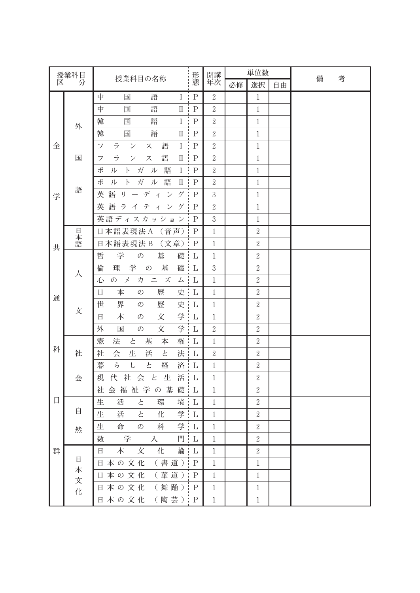| 授業科目 |             |                                                                      | 形態          | 開講           |    | 単位数              |    |        |
|------|-------------|----------------------------------------------------------------------|-------------|--------------|----|------------------|----|--------|
| 区    | 分           | 授業科目の名称                                                              |             | 年次           | 必修 | 選択               | 自由 | 備<br>考 |
|      |             | 中<br>語<br>$\bf{I}$<br>国                                              | $\mathbf P$ | $\sqrt{2}$   |    | $\mathbf{1}$     |    |        |
|      |             | 中<br>語<br>国<br>$\rm{I\!I}$                                           | $\rm P$     | $\sqrt{2}$   |    | $\mathbf{1}$     |    |        |
|      | 外           | 語<br>$\rm I$<br>韓<br>国                                               | $\mathbf P$ | $\sqrt{2}$   |    | $\mathbf{1}$     |    |        |
|      |             | 語<br>韓<br>国<br>$\rm{I\!I}$                                           | $\mathbf P$ | $\sqrt{2}$   |    | $1\,$            |    |        |
| 全    |             | $\rm I$<br>フ<br>ラ<br>$\checkmark$<br>ス<br>語                          | $\rm P$     | $\sqrt{2}$   |    | $1\,$            |    |        |
|      | 国           | ラ<br>語<br>$\mathcal{V}$<br>ス<br>$\rm{I\!I}$<br>フ                     | ${\bf P}$   | $\sqrt{2}$   |    | $1\,$            |    |        |
|      |             | 語<br>$\rm I$<br>ポ<br>ガ<br>ル<br>ル<br>F                                | ${\bf P}$   | $\sqrt{2}$   |    | $1\,$            |    |        |
|      |             | ポ<br>語<br>ル<br>$\mathsf{P}$<br>ガ<br>ル<br>$\rm{I\hspace{-.1em}I}$     | ${\bf P}$   | $\sqrt{2}$   |    | $1\,$            |    |        |
| 学    | 語           | デ<br>$\mathcal{V}$<br>ゲ<br>英<br>語<br>IJ<br>$\overline{\Lambda}$      | $\mathbf P$ | $\sqrt{3}$   |    | $1\,$            |    |        |
|      |             | 英<br>語<br>ラ<br>テ<br>ゲ<br>イ<br>ン<br>$\overline{\Lambda}$              | $\mathbf P$ | $\sqrt{2}$   |    | $1\,$            |    |        |
|      |             | 英語ディスカッション                                                           | $\mathbf P$ | $\sqrt{3}$   |    | $\mathbf{1}$     |    |        |
|      | 日           | 日本語表現法A<br>(音声)                                                      | $\mathbf P$ | $\mathbf{1}$ |    | $\boldsymbol{2}$ |    |        |
| 共    | 本語          | 日本語表現法B<br>(文章)                                                      | $\mathbf P$ | $\mathbf{1}$ |    | $\sqrt{2}$       |    |        |
|      |             | 学<br>哲<br>基<br>$\mathcal{O}$<br>礎                                    | L           | $\mathbf{1}$ |    | $\sqrt{2}$       |    |        |
|      | 人           | 理<br>学<br>基<br>礎<br>倫<br>$\mathcal{O}$                               | L           | $\sqrt{3}$   |    | $\boldsymbol{2}$ |    |        |
|      |             | $\stackrel{\textstyle{--}}{=}$<br>$\lambda$<br>ズ<br>心<br>の<br>力<br>厶 | L           | $\mathbf{1}$ |    | $\sqrt{2}$       |    |        |
|      | 文           | 本<br>歴<br>史<br>日<br>の                                                | L           | $\mathbf{1}$ |    | $\boldsymbol{2}$ |    |        |
| 通    |             | 界<br>歴<br>世<br>史<br>の                                                | L           | $\mathbf{1}$ |    | $\sqrt{2}$       |    |        |
|      |             | 学<br>本<br>文<br>日<br>の                                                | L           | $\mathbf{1}$ |    | $\boldsymbol{2}$ |    |        |
|      |             | 学<br>外<br>文<br>国<br>$\mathcal{O}$                                    | L           | $\sqrt{2}$   |    | $\sqrt{2}$       |    |        |
|      |             | 憲<br>法<br>と<br>基<br>本<br>権                                           | L           | $\mathbf{1}$ |    | $\boldsymbol{2}$ |    |        |
| 科    | 社           | 社<br>会<br>生<br>活<br>と<br>法                                           | L           | $\sqrt{2}$   |    | $\sqrt{2}$       |    |        |
|      |             | ら<br>暮<br>$\cup$<br>と<br>経<br>済                                      | L           | $\mathbf{1}$ |    | $\boldsymbol{2}$ |    |        |
|      | 会           | 代<br>社<br>会<br>$\succeq$<br>生<br>活<br>現                              | L           | $\mathbf{1}$ |    | $\sqrt{2}$       |    |        |
|      |             | 福祉学の基<br>会<br>礎<br>社                                                 | L           | $\mathbf{1}$ |    | $\boldsymbol{2}$ |    |        |
| 目    |             | 生<br>活<br>と<br>環<br>境                                                | L           | $\mathbf{1}$ |    | $\sqrt{2}$       |    |        |
|      | 自           | 学<br>生<br>活<br>と<br>化                                                | L           | $\mathbf{1}$ |    | $\sqrt{2}$       |    |        |
|      | 然           | 学<br>生<br>命<br>の<br>科                                                | L           | 1            |    | $\overline{2}$   |    |        |
|      |             | 学<br>門 L<br>数<br>入                                                   |             | $1\,$        |    | $\boldsymbol{2}$ |    |        |
| 群    |             | 本<br>論<br>化<br>文<br>日                                                | L           | $\mathbf{1}$ |    | $\,2$            |    |        |
|      | $\boxminus$ | (書道)   P<br>日本の文化                                                    |             | $\mathbf{1}$ |    | $\mathbf{1}$     |    |        |
|      | 本<br>文      | (華道) P<br>日本の文化                                                      |             | $1\,$        |    | $\,1\,$          |    |        |
|      | 化           | (舞踊) P<br>日本の文化                                                      |             | $1\,$        |    | $1\,$            |    |        |
|      |             | (陶芸) P<br>日本の文化                                                      |             | $1\,$        |    | $\,1$            |    |        |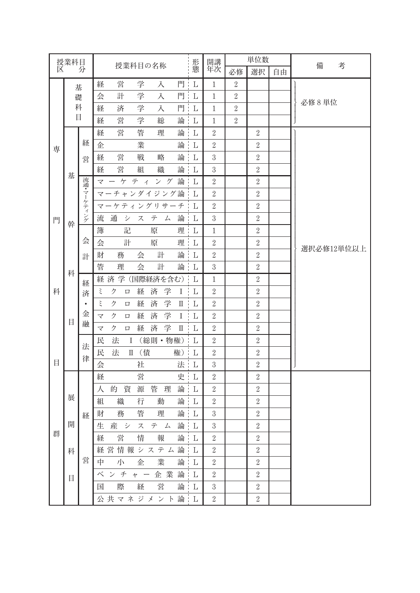| 授業科目 |        |                          |                                                            | 形態       | 開講               | 単位数              |                  |    | 備          |
|------|--------|--------------------------|------------------------------------------------------------|----------|------------------|------------------|------------------|----|------------|
| 区    |        | 分                        | 授業科目の名称                                                    |          | 年次               | 必修               | 選択               | 自由 | 考          |
|      | 基      |                          | 営<br>学<br>門<br>経<br>入                                      | L        | $\mathbf{1}$     | $\boldsymbol{2}$ |                  |    |            |
|      | 礎<br>科 |                          | 学<br>計<br>門<br>会<br>入                                      | L        | $\mathbf{1}$     | $\overline{2}$   |                  |    | 必修8単位      |
|      |        |                          | 学<br>門<br>経<br>済<br>入                                      | L        | $\mathbf{1}$     | $\boldsymbol{2}$ |                  |    |            |
|      | 目      |                          | 営<br>学<br>総<br>論<br>経                                      | L        | $\mathbf{1}$     | $\sqrt{2}$       |                  |    |            |
| 専    |        | 経<br>営                   | 営<br>管<br>論<br>経<br>理                                      | L        | $\sqrt{2}$       |                  | $\boldsymbol{2}$ |    |            |
|      |        |                          | 業<br>論<br>企                                                | L        | $\sqrt{2}$       |                  | $\sqrt{2}$       |    |            |
|      |        |                          | 営<br>戦<br>論<br>略<br>経                                      | L        | $\sqrt{3}$       |                  | $\sqrt{2}$       |    |            |
|      | 基      |                          | 営<br>論<br>経<br>組<br>織                                      | L        | $\,3$            |                  | $\sqrt{2}$       |    |            |
|      |        |                          | 論<br>ーケティ<br>ング<br>マ                                       | L        | $\sqrt{2}$       |                  | $\sqrt{2}$       |    |            |
|      |        |                          | マーチャンダイジング論                                                | L        | $\sqrt{2}$       |                  | $\sqrt{2}$       |    |            |
|      |        | 流通・マーケティング               | マーケティングリサーチ                                                | L        | $\sqrt{2}$       |                  | $\sqrt{2}$       |    |            |
| 門    | 幹      |                          | 論<br>流<br>通<br>シ<br>ス<br>テ<br>厶                            | L        | $\,3$            |                  | $\sqrt{2}$       |    |            |
|      |        |                          | 記<br>理<br>簿<br>原                                           | L        | $\mathbf{1}$     |                  | $\sqrt{2}$       |    |            |
|      | 科<br>目 | 会<br>計                   | 計<br>会<br>原<br>理                                           | L        | $\sqrt{2}$       |                  | $\sqrt{2}$       |    | 選択必修12単位以上 |
|      |        |                          | 論<br>務<br>計<br>財<br>会                                      | L        | $\sqrt{2}$       |                  | $\sqrt{2}$       |    |            |
|      |        |                          | 管<br>会<br>論<br>理<br>計                                      | L        | $\,3$            |                  | $\sqrt{2}$       |    |            |
|      |        | 経<br>済<br>$\bullet$<br>金 | 経済学<br>(国際経済を含む)                                           | L        | $\mathbf{1}$     |                  | $\sqrt{2}$       |    |            |
| 科    |        |                          | 学<br>ξ<br>ク<br>経<br>済<br>Ι<br>口                            | L        | $\sqrt{2}$       |                  | $\sqrt{2}$       |    |            |
|      |        |                          | 学<br>ξ<br>経<br>済<br>ク<br>П<br>□                            | L        | $\sqrt{2}$       |                  | $\sqrt{2}$       |    |            |
|      |        |                          | 学<br>ク<br>済<br>経<br>Ι<br>マ<br>口                            | L        | $\sqrt{2}$       |                  | $\sqrt{2}$       |    |            |
|      |        | 融                        | 学<br>済<br>ク<br>経<br>$\overline{\mathbf{X}}$<br>П<br>$\Box$ | L        | $\sqrt{2}$       |                  | $\sqrt{2}$       |    |            |
|      |        | 法                        | 民<br>法<br>(総則·物権)<br>Ι                                     | L        | $\sqrt{2}$       |                  | $\sqrt{2}$       |    |            |
|      |        | 律                        | (債<br>民<br>法<br>権)<br>П                                    | L        | $\sqrt{2}$       |                  | $\sqrt{2}$       |    |            |
| 目    |        |                          | 会<br>社<br>法                                                | L        | $\,3$            |                  | $\sqrt{2}$       |    |            |
|      |        | 経                        | 営<br>経<br>史                                                | L        | $\sqrt{2}$       |                  | $\boldsymbol{2}$ |    |            |
|      |        |                          | 管<br>論<br>的<br>資<br>源<br>理<br>人                            | L        | $\sqrt{2}$       |                  | $\sqrt{2}$       |    |            |
|      | 展      |                          | 論<br>組<br>織<br>行<br>動                                      | L        | $\sqrt{2}$       |                  | $\sqrt{2}$       |    |            |
|      |        |                          | 管<br>論<br>財<br>理<br>務                                      | $\Gamma$ | $\overline{3}$   |                  | $\overline{2}$   |    |            |
|      | 開      |                          | 生産システム論                                                    | L        | $\sqrt{3}$       |                  | $\overline{2}$   |    |            |
| 群    |        |                          | 論<br>営<br>情<br>報<br>経                                      | L        | $\sqrt{2}$       |                  | $\overline{2}$   |    |            |
|      | 科      |                          | 経営情報システム論                                                  | L        | $\boldsymbol{2}$ |                  | $\boldsymbol{2}$ |    |            |
|      |        | 営                        | 中 小<br>論<br>業<br>企                                         | L        | $\sqrt{2}$       |                  | $\sqrt{2}$       |    |            |
|      | 目      |                          | ベンチャー企業論                                                   | L        | $\sqrt{2}$       |                  | $\boldsymbol{2}$ |    |            |
|      |        |                          | 営<br>論 L<br>際<br>経<br>国                                    |          | $\sqrt{3}$       |                  | $\boldsymbol{2}$ |    |            |
|      |        |                          | 公共マネジメント論:L                                                |          | $\sqrt{2}$       |                  | $\boldsymbol{2}$ |    |            |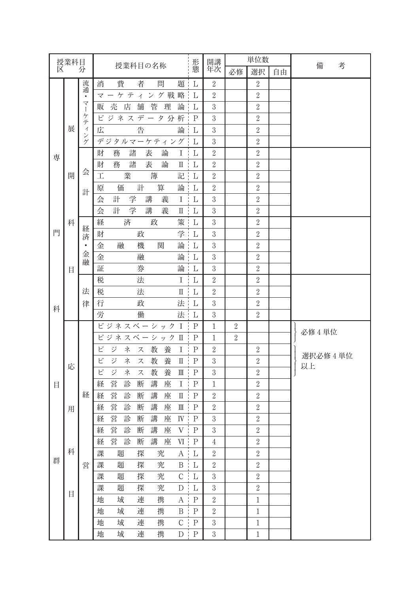| 授業科目 |   |                   |                                                                     | 形態                                                   | 開講           | 単位数              |                  |    | 備<br>考    |
|------|---|-------------------|---------------------------------------------------------------------|------------------------------------------------------|--------------|------------------|------------------|----|-----------|
| 区    |   | 分                 | 授業科目の名称                                                             |                                                      | 年次           | 必修               | 選択               | 自由 |           |
|      |   | 流                 | 費<br>消<br>者<br>問<br>題:                                              | L                                                    | $\sqrt{2}$   |                  | $\sqrt{2}$       |    |           |
|      |   | 通<br>$\bullet$    | ケテ<br>ング戦略<br>$\overline{A}$<br>マ                                   | L                                                    | $\sqrt{2}$   |                  | $\sqrt{2}$       |    |           |
|      |   | マ<br>$\mathbf{I}$ | 売<br>管<br>理<br>論<br>店<br>舗<br>販                                     | L                                                    | $\sqrt{3}$   |                  | $\sqrt{2}$       |    |           |
|      |   | ケテ                | ビジネスデータ分析                                                           | $\mathbf P$                                          | $\sqrt{3}$   |                  | $\sqrt{2}$       |    |           |
|      | 展 | $\cal I$          | 広<br>告<br>論                                                         | L                                                    | $\sqrt{3}$   |                  | $\sqrt{2}$       |    |           |
|      |   | ング                | デジタルマーケティング                                                         | L                                                    | $\sqrt{3}$   |                  | $\sqrt{2}$       |    |           |
| 専    |   |                   | 財<br>諸<br>表<br>論<br>務<br>$\mathbf{I}$                               | L                                                    | $\sqrt{2}$   |                  | $\sqrt{2}$       |    |           |
|      |   | 会<br>計            | 財<br>諸<br>表<br>論<br>務<br>$\rm{I\hspace{-.1em}I}$                    | $\vdash$ L                                           | $\sqrt{2}$   |                  | $\sqrt{2}$       |    |           |
|      | 開 |                   | 工<br>業<br>簿<br>記                                                    | L                                                    | $\sqrt{2}$   |                  | $\overline{2}$   |    |           |
|      |   |                   | 計<br>論<br>価<br>原<br>算                                               | L                                                    | $\sqrt{2}$   |                  | $\sqrt{2}$       |    |           |
|      |   |                   | 計<br>学<br>会<br>講<br>義<br>$\bf{I}$                                   | $\mathbf{L}$                                         | $\sqrt{3}$   |                  | $\sqrt{2}$       |    |           |
|      |   |                   | 会<br>計<br>学<br>講<br>義<br>П                                          | L                                                    | $\sqrt{3}$   |                  | $\overline{2}$   |    |           |
|      | 科 |                   | 済<br>経<br>政<br>策                                                    | L                                                    | $\sqrt{3}$   |                  | $\sqrt{2}$       |    |           |
| 門    |   | 経<br>済            | 学<br>財<br>政                                                         | L                                                    | $\,3$        |                  | $\sqrt{2}$       |    |           |
|      |   | $\bullet$         | 論<br>融<br>機<br>関<br>金                                               | L                                                    | $\sqrt{3}$   |                  | $\sqrt{2}$       |    |           |
|      |   | 金<br>融            | 金<br>論<br>融                                                         | $\mathbf{L}$                                         | $\sqrt{3}$   |                  | $\sqrt{2}$       |    |           |
|      | 目 |                   | 論<br>証<br>券                                                         | L                                                    | $\sqrt{3}$   |                  | $\overline{2}$   |    |           |
|      |   | 法                 | 法<br>税<br>I                                                         | L                                                    | $\sqrt{2}$   |                  | $\boldsymbol{2}$ |    |           |
|      |   |                   | 税<br>法<br>$\rm{I\hspace{-.1em}I}$                                   | $\mathbf{L}$                                         | $\sqrt{2}$   |                  | $\sqrt{2}$       |    |           |
| 科    |   | 律                 | 政<br>法<br>行                                                         | L                                                    | $\sqrt{3}$   |                  | $\sqrt{2}$       |    |           |
|      |   |                   | 労<br>働<br>法 L                                                       |                                                      | $\sqrt{3}$   |                  | $\sqrt{2}$       |    |           |
|      |   |                   | ビジネスベーシック<br><b>I</b>                                               | $\mathbf P$                                          | $\mathbf{1}$ | $\boldsymbol{2}$ |                  |    | 必修 4 単位   |
|      |   |                   | ビジネスベーシック II                                                        | P                                                    | $\mathbf{1}$ | $\boldsymbol{2}$ |                  |    |           |
|      |   |                   | ビ<br>ネ<br>教<br>養<br>ジ<br>$\bf I$<br>ス                               | $\mathbf P$                                          | $\sqrt{2}$   |                  | $\boldsymbol{2}$ |    | 選択必修 4 単位 |
|      | 応 |                   | ビ<br>教<br>ジ<br>ネ<br>養<br>Π<br>ス                                     | P                                                    | $\,3$        |                  | $\sqrt{2}$       |    | 以上        |
|      |   |                   | ピ<br>教<br>養<br>ジ<br>ネ<br>$\rm I\hspace{-.1em}I\hspace{-.1em}I$<br>ス | $\mathbf P$                                          | $\sqrt{3}$   |                  | $\sqrt{2}$       |    |           |
| 目    |   |                   | 営<br>断<br>講<br>経<br>診<br>座<br>Ι                                     | $\mathbf P$                                          | $\mathbf{1}$ |                  | $\sqrt{2}$       |    |           |
|      |   | 経                 | 営<br>座<br>経<br>診<br>断<br>講<br>$\rm{I\hspace{-.1em}I}$               | $\mathbf P$                                          | $\sqrt{2}$   |                  | $\sqrt{2}$       |    |           |
|      | 用 |                   | 営<br>断<br>講<br>座<br>診<br>$\mathbb{I}$<br>経                          | $\mathbf P$                                          | $\sqrt{2}$   |                  | $\sqrt{2}$       |    |           |
|      |   |                   | 経<br>営<br>診<br>断<br>講<br>座                                          | $\ensuremath{I\!V}\xspace$ . $\ensuremath{P}\xspace$ | $\sqrt{3}$   |                  | $\,2$            |    |           |
|      |   |                   | 営<br>講<br>経<br>診<br>断<br>座<br>V                                     | $\mathbf P$                                          | $\sqrt{3}$   |                  | $\sqrt{2}$       |    |           |
|      |   | 営                 | 営<br>講<br>経<br>診<br>断<br>座<br>VI                                    | $\mathbf P$                                          | $\,4$        |                  | $\sqrt{2}$       |    |           |
|      | 科 |                   | 究<br>課<br>題<br>探<br>$\boldsymbol{A}$                                | L                                                    | $\sqrt{2}$   |                  | $\sqrt{2}$       |    |           |
| 群    |   |                   | 課<br>題<br>探<br>究<br>$\, {\bf B}$                                    | L                                                    | $\sqrt{2}$   |                  | $\,2$            |    |           |
|      |   |                   | 題<br>探<br>課<br>究<br>$\mathsf C$                                     | $\mathbf{L}$                                         | $\sqrt{3}$   |                  | $\sqrt{2}$       |    |           |
|      | 目 |                   | 探<br>題<br>究<br>課<br>${\mathcal{D}}$                                 | L                                                    | $\,3$        |                  | $\sqrt{2}$       |    |           |
|      |   |                   | 域<br>連<br>携<br>地<br>$\boldsymbol{A}$                                | $\mathbf P$                                          | $\sqrt{2}$   |                  | $\,1$            |    |           |
|      |   |                   | 域<br>地<br>連<br>携<br>$\, {\bf B}$                                    | $\rm P$                                              | $\sqrt{2}$   |                  | $\,1\,$          |    |           |
|      |   |                   | $\mathsf C$<br>地<br>域<br>連<br>携                                     | ${\bf P}$                                            | $\sqrt{3}$   |                  | $\,1$            |    |           |
|      |   |                   | 域<br>地<br>連<br>携                                                    | $D \nmid P$                                          | $\sqrt{3}$   |                  | $\,1$            |    |           |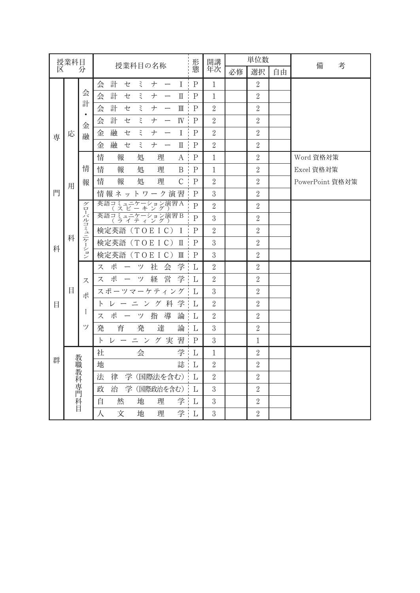| 授業科目 |          |                     | 授業科目の名称                                                                   | 形            | 開講             |    | 単位数              |    | 備<br>考          |
|------|----------|---------------------|---------------------------------------------------------------------------|--------------|----------------|----|------------------|----|-----------------|
| 区    |          | 分                   |                                                                           | 態            | 年次             | 必修 | 選択               | 自由 |                 |
|      |          |                     | 計<br>ξ<br>$I$ :<br>会<br>セ<br>$\boldsymbol{+}$<br>$\overline{\phantom{0}}$ | P            | $\mathbf{1}$   |    | $\overline{2}$   |    |                 |
|      |          | 会                   | 会<br>計<br>セ<br>ξ<br>ナ<br>П                                                | $\cdot$ P    | $\mathbf{1}$   |    | $\sqrt{2}$       |    |                 |
|      |          | 計<br>$\bullet$<br>金 | 計<br>$\rm I\hspace{-.1em}I\hspace{-.1em}I$<br>会<br>ξ<br>セ<br>ナ            | P            | $\sqrt{2}$     |    | $\sqrt{2}$       |    |                 |
|      |          |                     | 計<br>$\mathbb{N}$ .<br>会<br>セ<br>ξ<br>ナ                                   | P            | $\overline{2}$ |    | $\sqrt{2}$       |    |                 |
| 専    | 応        | 融                   | 融<br>ξ<br>$I \vdash$<br>金<br>セ<br>$\boldsymbol{\boldsymbol{\mathcal{+}}}$ | $\mathbf P$  | $\overline{2}$ |    | $\sqrt{2}$       |    |                 |
|      |          |                     | 融<br>金<br>セ<br>ξ<br>ナ<br>$\mathbb{I}$                                     | $\mathbf P$  | $\sqrt{2}$     |    | $\sqrt{2}$       |    |                 |
|      |          |                     | 情<br>報<br>処<br>理<br>$A$ :                                                 | $\mathbf P$  | $\mathbf{1}$   |    | $\sqrt{2}$       |    | Word 資格対策       |
|      |          | 情                   | 情<br>報<br>処<br>理<br>B                                                     | $\mathbf P$  | $\mathbf{1}$   |    | $\sqrt{2}$       |    | Excel 資格対策      |
|      | 用        | 報                   | 情<br>報<br>$\mathcal{C}$<br>処<br>理                                         | P            | $\sqrt{2}$     |    | $\sqrt{2}$       |    | PowerPoint 資格対策 |
| 門    |          |                     | 情報ネットワーク演習                                                                | P            | 3              |    | $\sqrt{2}$       |    |                 |
|      |          | グロ                  | 英語コミュニ<br>ニケーション演習A<br>- ゚ ー キ ン グ )                                      | $\mathsf{P}$ | $\overline{2}$ |    | $\sqrt{2}$       |    |                 |
|      |          |                     | 英語コミュニケーション演習 B<br>(ライティング)                                               | $\mathsf{P}$ | $\mathfrak{Z}$ |    | $\sqrt{2}$       |    |                 |
|      | 科        | ーバルコミュニケーション        | 検定英語<br>(TO E I C)<br>-1                                                  | P            | $\sqrt{2}$     |    | $\sqrt{2}$       |    |                 |
| 科    |          |                     | 検定英語 (TOEIC)<br>$\Pi$ :                                                   | P            | 3              |    | $\sqrt{2}$       |    |                 |
|      |          |                     | 検定英語<br>(TO E I C)<br>Ш                                                   | $\mathbf P$  | $\overline{3}$ |    | $\overline{2}$   |    |                 |
|      |          |                     | ポ<br>社<br>学<br>会<br>ツ<br>ス<br>$\overbrace{\phantom{12322111}}$            | L            | $\sqrt{2}$     |    | $\sqrt{2}$       |    |                 |
|      |          | ス                   | ポ<br>経<br>営<br>学<br>ツ<br>ス                                                | L            | $\overline{2}$ |    | $\overline{2}$   |    |                 |
|      | 目        | ポ<br>I<br>ツ         | スポーツマーケティング                                                               | L            | $\mathfrak{Z}$ |    | $\overline{2}$   |    |                 |
| 目    |          |                     | 学<br>グ科<br>$\mathsf{P}$<br>レ<br>ン<br>드                                    | L            | $\sqrt{2}$     |    | $\sqrt{2}$       |    |                 |
|      |          |                     | ポ<br>導<br>指<br>論<br>ツ<br>ス                                                | L            | $\sqrt{2}$     |    | $\boldsymbol{2}$ |    |                 |
|      |          |                     | 育<br>発<br>達<br>論<br>発                                                     | L            | $\mathfrak{Z}$ |    | $\sqrt{2}$       |    |                 |
|      |          |                     | 習<br>ニン<br>グ実<br>$\vdash$<br>レ                                            | $\mathbf P$  | $\mathfrak{Z}$ |    | $\mathbf{1}$     |    |                 |
|      |          |                     | 社<br>学<br>会                                                               | L            | $\mathbf{1}$   |    | $\boldsymbol{2}$ |    |                 |
| 群    |          |                     | 誌<br>地                                                                    | L            | $\sqrt{2}$     |    | $\sqrt{2}$       |    |                 |
|      |          |                     | 学 (国際法を含む): L<br>法<br>律                                                   |              | $\sqrt{2}$     |    | $\sqrt{2}$       |    |                 |
|      | 教職教科専門科目 |                     | 治<br>学 (国際政治を含む): L<br>政                                                  |              | $\sqrt{3}$     |    | $\overline{2}$   |    |                 |
|      |          |                     | 学 L<br>自<br>然<br>地<br>理                                                   |              | $\sqrt{3}$     |    | $\sqrt{2}$       |    |                 |
|      |          |                     | 人<br>文<br>地<br>理                                                          | 学 L          | 3              |    | $\overline{2}$   |    |                 |